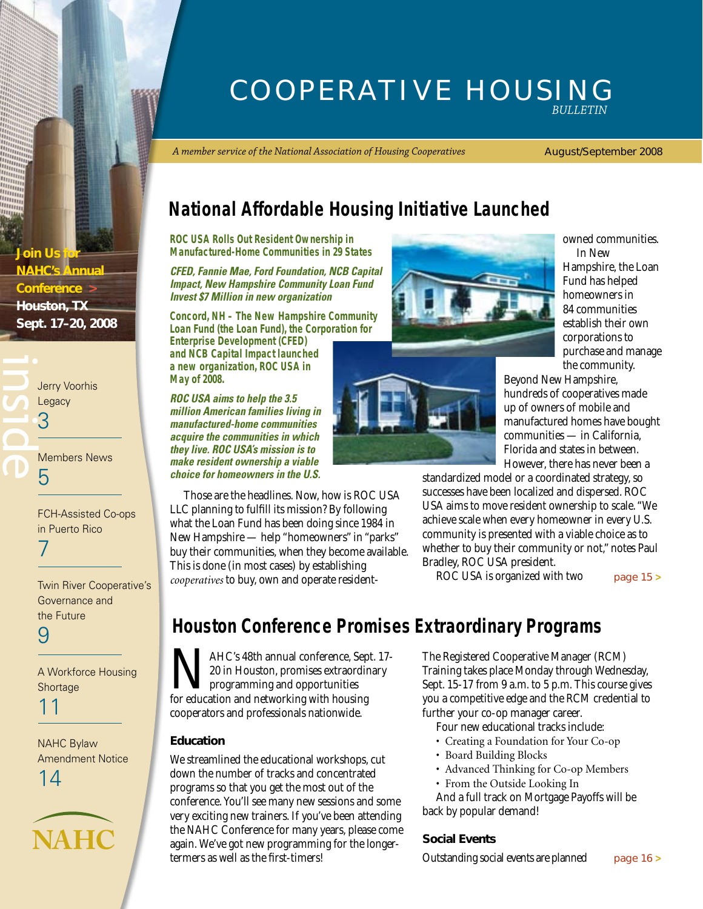### Cooperative Housing *Bulletin*

*A member service of the National Association of Housing Cooperatives*

#### August/September 2008

## **National Affordable Housing Initiative Launched**

**ROC USA Rolls Out Resident Ownership in Manufactured-Home Communities in 29 States**

*CFED, Fannie Mae, Ford Foundation, NCB Capital Impact, New Hampshire Community Loan Fund Invest \$7 Million in new organization*

**Concord, NH – The New Hampshire Community Loan Fund (the Loan Fund), the Corporation for Enterprise Development (CFED)** 

**and NCB Capital Impact launched a new organization, ROC USA in May of 2008.**

*ROC USA aims to help the 3.5 million American families living in manufactured-home communities acquire the communities in which they live. ROC USA's mission is to make resident ownership a viable choice for homeowners in the U.S.* 

Those are the headlines. Now, how is ROC USA LLC planning to fulfill its mission? By following what the Loan Fund has been doing since 1984 in New Hampshire — help "homeowners" in "parks" buy their communities, when they become available. This is done (in most cases) by establishing *cooperatives* to buy, own and operate resident-



owned communities. In New

Hampshire, the Loan Fund has helped homeowners in 84 communities establish their own corporations to purchase and manage the community.

Beyond New Hampshire, hundreds of cooperatives made up of owners of mobile and manufactured homes have bought communities — in California, Florida and states in between. However, there has never been a

standardized model or a coordinated strategy, so successes have been localized and dispersed. ROC USA aims to move resident ownership to scale. "We achieve scale when every homeowner in every U.S. community is presented with a viable choice as to whether to buy their community or not," notes Paul Bradley, ROC USA president.

ROC USA is organized with two

[page 15](#page-14-0) **>**

## **Houston Conference Promises Extraordinary Programs**

MAHC's 48th annual conference, Sept. 17-<br>20 in Houston, promises extraordinary<br>for education and networking with housing 20 in Houston, promises extraordinary programming and opportunities for education and networking with housing cooperators and professionals nationwide.

#### **Education**

We streamlined the educational workshops, cut down the number of tracks and concentrated programs so that you get the most out of the conference. You'll see many new sessions and some very exciting new trainers. If you've been attending the NAHC Conference for many years, please come again. We've got new programming for the longertermers as well as the first-timers!

The Registered Cooperative Manager (RCM) Training takes place Monday through Wednesday, Sept. 15-17 from 9 a.m. to 5 p.m. This course gives you a competitive edge and the RCM credential to further your co-op manager career.

Four new educational tracks include:

- Creating a Foundation for Your Co-op
- Board Building Blocks
- Advanced Thinking for Co-op Members
- From the Outside Looking In

And a full track on Mortgage Payoffs will be back by popular demand!

#### **Social Events**

Outstanding social events are planned [page 16](#page-15-0) **>**

**Join Us for NAHC's Annual Conference > Houston, TX Sept. 17–20, 2008**

**inside Jurry Voorhis**<br>Legacy<br>**3**<br>**Computer**<br>Computer Server Transference Legacy 3 [Members News](#page-4-0) 5

> [FCH-Assisted Co-ops](#page-6-0)  in Puerto Rico 7

[Twin River Cooperative's](#page-8-0)  Governance and the Future

9

[A Workforce Housing](#page-10-0)  Shortage

11

NAHC Bylaw [Amendment Notice](#page-13-0) 14

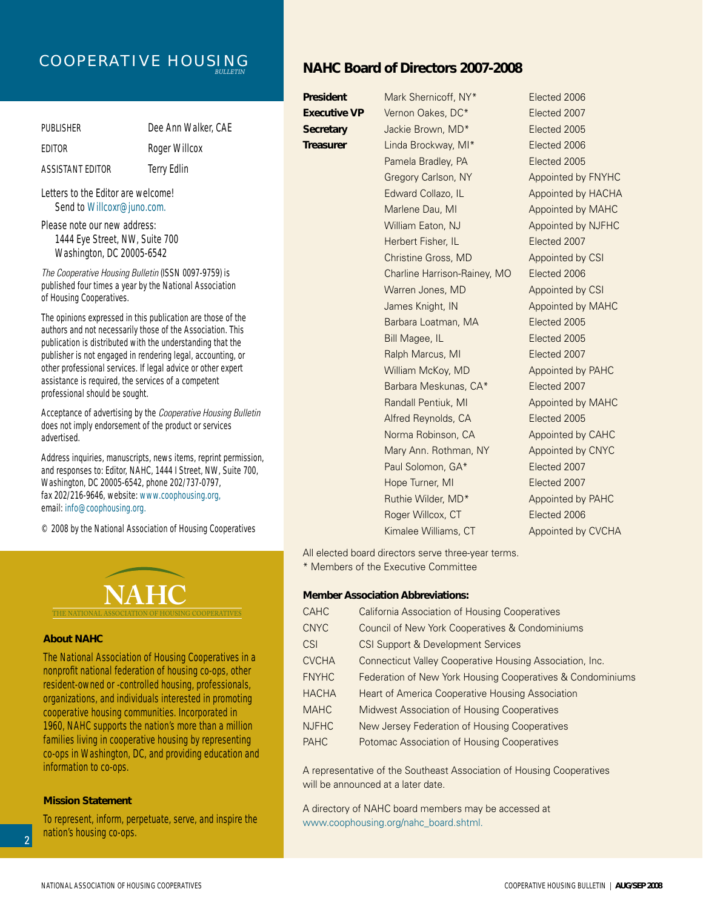## Cooperative Housing *Bulletin*

| PUBLISHER        | Dee Ann Walker, CAE |
|------------------|---------------------|
| <b>FDITOR</b>    | Roger Willcox       |
| ASSISTANT EDITOR | Terry Edlin         |

Letters to the Editor are welcome! Send to Willcoxr@juno.com.

Please note our new address: 1444 Eye Street, NW, Suite 700 Washington, DC 20005-6542

*The Cooperative Housing Bulletin* (ISSN 0097-9759) is published four times a year by the National Association of Housing Cooperatives.

The opinions expressed in this publication are those of the authors and not necessarily those of the Association. This publication is distributed with the understanding that the publisher is not engaged in rendering legal, accounting, or other professional services. If legal advice or other expert assistance is required, the services of a competent professional should be sought.

Acceptance of advertising by the *Cooperative Housing Bulletin*  does not imply endorsement of the product or services advertised.

Address inquiries, manuscripts, news items, reprint permission, and responses to: Editor, NAHC, 1444 I Street, NW, Suite 700, Washington, DC 20005-6542, phone 202/737-0797, fax 202/216-9646, website: www.coophousing.org, email: info@coophousing.org.

© 2008 by the National Association of Housing Cooperatives



#### **About NAHC**

The National Association of Housing Cooperatives in a nonprofit national federation of housing co-ops, other resident-owned or -controlled housing, professionals, organizations, and individuals interested in promoting cooperative housing communities. Incorporated in 1960, NAHC supports the nation's more than a million families living in cooperative housing by representing co-ops in Washington, DC, and providing education and information to co-ops.

#### **Mission Statement**

To represent, inform, perpetuate, serve, and inspire the nation's housing co-ops.

#### **NAHC Board of Directors 2007-2008**

**President** Mark Shernicoff, NY<sup>\*</sup> Elected 2006 **Executive VP** Vernon Oakes, DC\* Elected 2007 **Secretary** Jackie Brown, MD<sup>\*</sup> Elected 2005 **Treasurer** Linda Brockway, MI\* Elected 2006 Pamela Bradley, PA Elected 2005 Herbert Fisher, IL **Elected 2007** Christine Gross, MD Appointed by CSI Charline Harrison-Rainey, MO Elected 2006 Warren Jones, MD Appointed by CSI Barbara Loatman, MA **Elected** 2005 Bill Magee, IL **Elected 2005** Ralph Marcus, MI Elected 2007 William McKoy, MD Appointed by PAHC Barbara Meskunas, CA\* Elected 2007 Alfred Reynolds, CA Elected 2005 Norma Robinson, CA Appointed by CAHC

Gregory Carlson, NY Appointed by FNYHC Edward Collazo, IL Appointed by HACHA Marlene Dau, MI Appointed by MAHC William Eaton, NJ Appointed by NJFHC James Knight, IN Appointed by MAHC Randall Pentiuk, MI Appointed by MAHC Mary Ann. Rothman, NY Appointed by CNYC Paul Solomon, GA\* Elected 2007 Hope Turner, MI Elected 2007 Ruthie Wilder, MD<sup>\*</sup> Appointed by PAHC Roger Willcox, CT Elected 2006 Kimalee Williams, CT Appointed by CVCHA

All elected board directors serve three-year terms. \* Members of the Executive Committee

#### **Member Association Abbreviations:**

| <b>CAHC</b>  | <b>California Association of Housing Cooperatives</b>      |
|--------------|------------------------------------------------------------|
| <b>CNYC</b>  | Council of New York Cooperatives & Condominiums            |
| <b>CSI</b>   | CSI Support & Development Services                         |
| <b>CVCHA</b> | Connecticut Valley Cooperative Housing Association, Inc.   |
| <b>FNYHC</b> | Federation of New York Housing Cooperatives & Condominiums |
| <b>HACHA</b> | <b>Heart of America Cooperative Housing Association</b>    |
| <b>MAHC</b>  | Midwest Association of Housing Cooperatives                |
| <b>NJFHC</b> | New Jersey Federation of Housing Cooperatives              |
| <b>PAHC</b>  | Potomac Association of Housing Cooperatives                |

A representative of the Southeast Association of Housing Cooperatives will be announced at a later date.

A directory of NAHC board members may be accessed at www.coophousing.org/nahc\_board.shtml.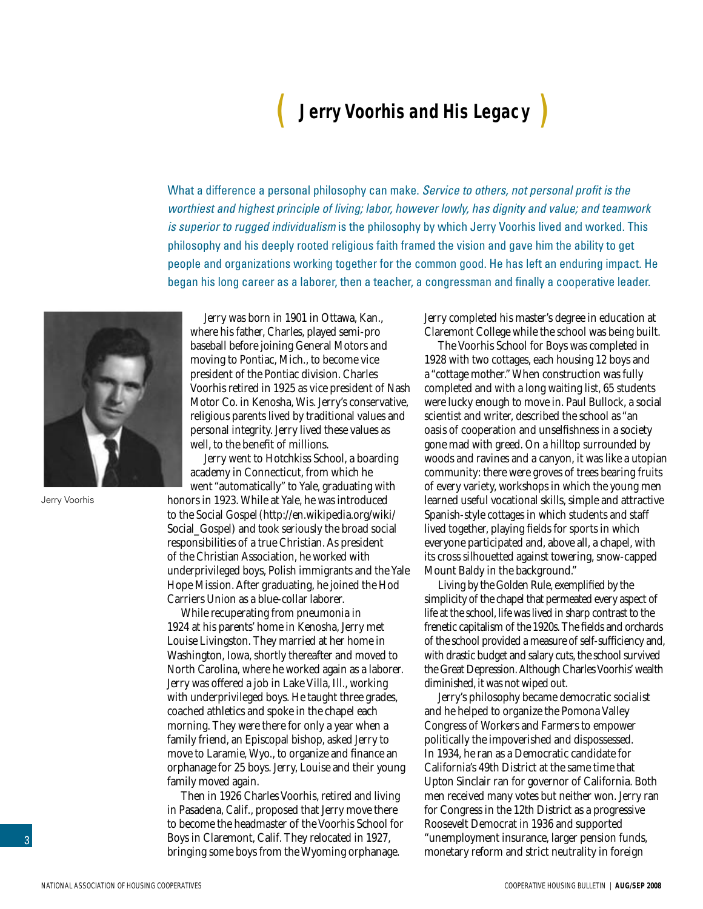# ( **Jerry Voorhis and His Legacy** )

<span id="page-2-0"></span>What a difference a personal philosophy can make. *Service to others, not personal profit is the worthiest and highest principle of living; labor, however lowly, has dignity and value; and teamwork is superior to rugged individualism* is the philosophy by which Jerry Voorhis lived and worked. This philosophy and his deeply rooted religious faith framed the vision and gave him the ability to get people and organizations working together for the common good. He has left an enduring impact. He began his long career as a laborer, then a teacher, a congressman and finally a cooperative leader.



Jerry Voorhis

Jerry was born in 1901 in Ottawa, Kan., where his father, Charles, played semi-pro baseball before joining General Motors and moving to Pontiac, Mich., to become vice president of the Pontiac division. Charles Voorhis retired in 1925 as vice president of Nash Motor Co. in Kenosha, Wis. Jerry's conservative, religious parents lived by traditional values and personal integrity. Jerry lived these values as well, to the benefit of millions.

Jerry went to Hotchkiss School, a boarding academy in Connecticut, from which he went "automatically" to Yale, graduating with honors in 1923. While at Yale, he was introduced to the Social Gospel (http://en.wikipedia.org/wiki/ Social\_Gospel) and took seriously the broad social responsibilities of a true Christian. As president of the Christian Association, he worked with underprivileged boys, Polish immigrants and the Yale Hope Mission. After graduating, he joined the Hod Carriers Union as a blue-collar laborer.

While recuperating from pneumonia in 1924 at his parents' home in Kenosha, Jerry met Louise Livingston. They married at her home in Washington, Iowa, shortly thereafter and moved to North Carolina, where he worked again as a laborer. Jerry was offered a job in Lake Villa, Ill., working with underprivileged boys. He taught three grades, coached athletics and spoke in the chapel each morning. They were there for only a year when a family friend, an Episcopal bishop, asked Jerry to move to Laramie, Wyo., to organize and finance an orphanage for 25 boys. Jerry, Louise and their young family moved again.

Then in 1926 Charles Voorhis, retired and living in Pasadena, Calif., proposed that Jerry move there to become the headmaster of the Voorhis School for Boys in Claremont, Calif. They relocated in 1927, bringing some boys from the Wyoming orphanage.

Jerry completed his master's degree in education at Claremont College while the school was being built.

The Voorhis School for Boys was completed in 1928 with two cottages, each housing 12 boys and a "cottage mother." When construction was fully completed and with a long waiting list, 65 students were lucky enough to move in. Paul Bullock, a social scientist and writer, described the school as "an oasis of cooperation and unselfishness in a society gone mad with greed. On a hilltop surrounded by woods and ravines and a canyon, it was like a utopian community: there were groves of trees bearing fruits of every variety, workshops in which the young men learned useful vocational skills, simple and attractive Spanish-style cottages in which students and staff lived together, playing fields for sports in which everyone participated and, above all, a chapel, with its cross silhouetted against towering, snow-capped Mount Baldy in the background."

Living by the Golden Rule, exemplified by the simplicity of the chapel that permeated every aspect of life at the school, life was lived in sharp contrast to the frenetic capitalism of the 1920s. The fields and orchards of the school provided a measure of self-sufficiency and, with drastic budget and salary cuts, the school survived the Great Depression. Although Charles Voorhis' wealth diminished, it was not wiped out.

Jerry's philosophy became democratic socialist and he helped to organize the Pomona Valley Congress of Workers and Farmers to empower politically the impoverished and dispossessed. In 1934, he ran as a Democratic candidate for California's 49th District at the same time that Upton Sinclair ran for governor of California. Both men received many votes but neither won. Jerry ran for Congress in the 12th District as a progressive Roosevelt Democrat in 1936 and supported "unemployment insurance, larger pension funds, monetary reform and strict neutrality in foreign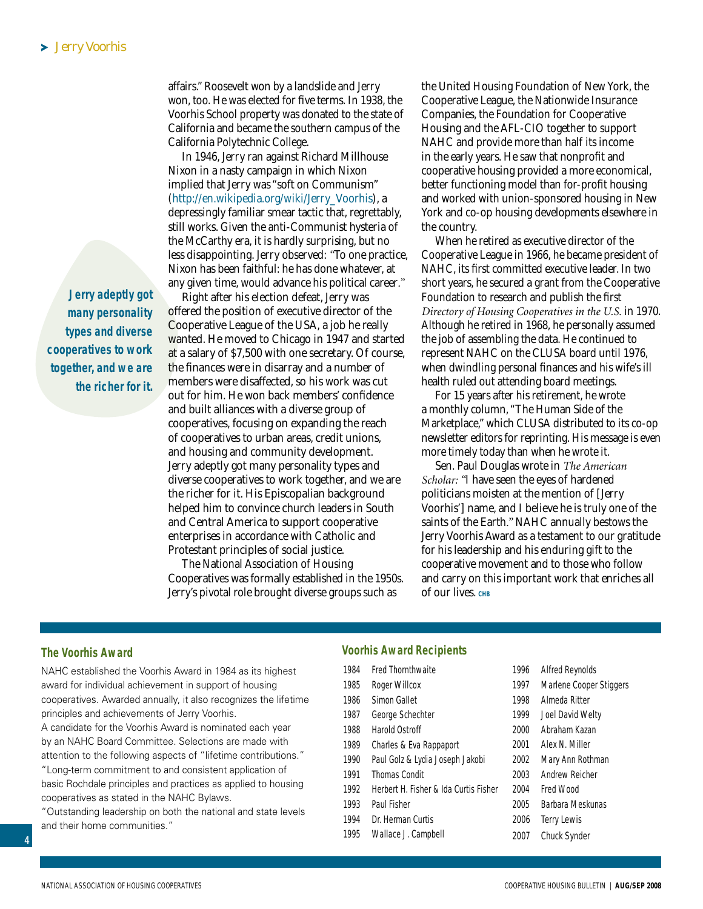**Jerry adeptly got many personality types and diverse cooperatives to work together, and we are the richer for it.**  affairs." Roosevelt won by a landslide and Jerry won, too. He was elected for five terms. In 1938, the Voorhis School property was donated to the state of California and became the southern campus of the California Polytechnic College.

In 1946, Jerry ran against Richard Millhouse Nixon in a nasty campaign in which Nixon implied that Jerry was "soft on Communism" (http://en.wikipedia.org/wiki/Jerry\_Voorhis), a depressingly familiar smear tactic that, regrettably, still works. Given the anti-Communist hysteria of the McCarthy era, it is hardly surprising, but no less disappointing. Jerry observed: *"*To one practice, Nixon has been faithful: he has done whatever, at any given time, would advance his political career*."* 

Right after his election defeat, Jerry was offered the position of executive director of the Cooperative League of the USA, a job he really wanted. He moved to Chicago in 1947 and started at a salary of \$7,500 with one secretary. Of course, the finances were in disarray and a number of members were disaffected, so his work was cut out for him. He won back members' confidence and built alliances with a diverse group of cooperatives, focusing on expanding the reach of cooperatives to urban areas, credit unions, and housing and community development. Jerry adeptly got many personality types and diverse cooperatives to work together, and we are the richer for it. His Episcopalian background helped him to convince church leaders in South and Central America to support cooperative enterprises in accordance with Catholic and Protestant principles of social justice.

The National Association of Housing Cooperatives was formally established in the 1950s. Jerry's pivotal role brought diverse groups such as

the United Housing Foundation of New York, the Cooperative League, the Nationwide Insurance Companies, the Foundation for Cooperative Housing and the AFL-CIO together to support NAHC and provide more than half its income in the early years. He saw that nonprofit and cooperative housing provided a more economical, better functioning model than for-profit housing and worked with union-sponsored housing in New York and co-op housing developments elsewhere in the country.

When he retired as executive director of the Cooperative League in 1966, he became president of NAHC, its first committed executive leader. In two short years, he secured a grant from the Cooperative Foundation to research and publish the first *Directory of Housing Cooperatives in the U.S.* in 1970. Although he retired in 1968, he personally assumed the job of assembling the data. He continued to represent NAHC on the CLUSA board until 1976, when dwindling personal finances and his wife's ill health ruled out attending board meetings.

For 15 years after his retirement, he wrote a monthly column, "The Human Side of the Marketplace," which CLUSA distributed to its co-op newsletter editors for reprinting. His message is even more timely today than when he wrote it.

Sen. Paul Douglas wrote in *The American Scholar: "*I have seen the eyes of hardened politicians moisten at the mention of [Jerry Voorhis'] name, and I believe he is truly one of the saints of the Earth*."* NAHC annually bestows the Jerry Voorhis Award as a testament to our gratitude for his leadership and his enduring gift to the cooperative movement and to those who follow and carry on this important work that enriches all Of our lives. CHB

#### **The Voorhis Award**

4

NAHC established the Voorhis Award in 1984 as its highest award for individual achievement in support of housing cooperatives. Awarded annually, it also recognizes the lifetime principles and achievements of Jerry Voorhis.

A candidate for the Voorhis Award is nominated each year by an NAHC Board Committee. Selections are made with attention to the following aspects of "lifetime contributions." "Long-term commitment to and consistent application of basic Rochdale principles and practices as applied to housing

cooperatives as stated in the NAHC Bylaws. "Outstanding leadership on both the national and state levels and their home communities."

#### **Voorhis Award Recipients**

- 1984 Fred Thornthwaite
- 1985 Roger Willcox
- 1986 Simon Gallet
- 1987 George Schechter
- 1988 Harold Ostroff
- 1989 Charles & Eva Rappaport
- 
- 1990 Paul Golz & Lydia Joseph Jakobi
- 1991 Thomas Condit
- 1992 Herbert H. Fisher & Ida Curtis Fisher
- 1993 Paul Fisher
- 1994 Dr. Herman Curtis
- 1995 Wallace J. Campbell
- 1996 Alfred Reynolds 1997 Marlene Cooper Stiggers 1998 Almeda Ritter 1999 Joel David Welty 2000 Abraham Kazan 2001 Alex N. Miller 2002 Mary Ann Rothman 2003 Andrew Reicher 2004 Fred Wood 2005 Barbara Meskunas 2006 Terry Lewis 2007 Chuck Synder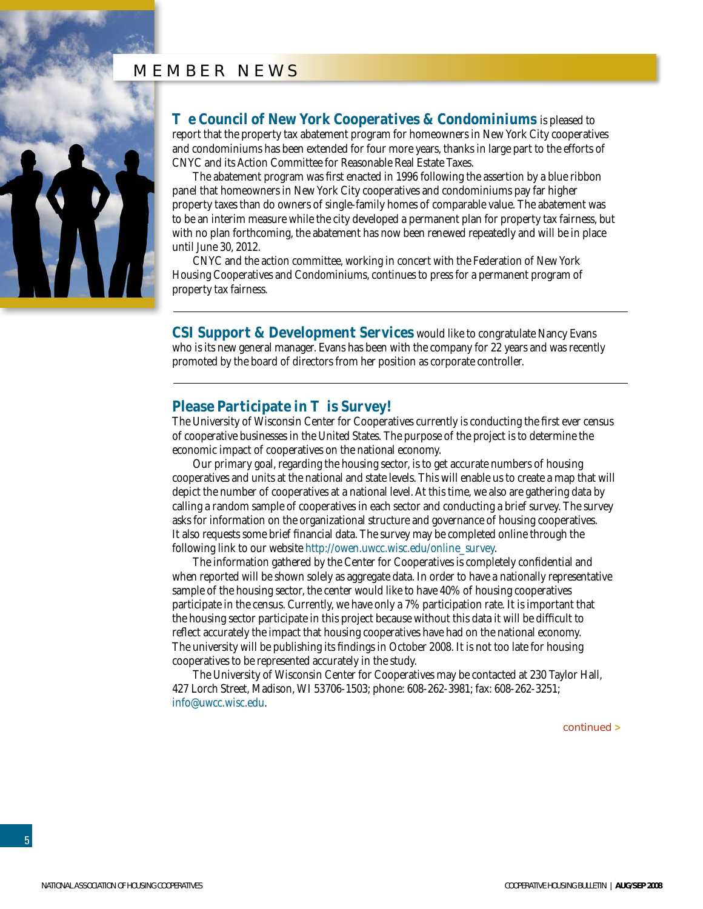#### member news

<span id="page-4-0"></span>

**e Council of New York Cooperatives & Condominiums** is pleased to report that the property tax abatement program for homeowners in New York City cooperatives and condominiums has been extended for four more years, thanks in large part to the efforts of CNYC and its Action Committee for Reasonable Real Estate Taxes.

The abatement program was first enacted in 1996 following the assertion by a blue ribbon panel that homeowners in New York City cooperatives and condominiums pay far higher property taxes than do owners of single-family homes of comparable value. The abatement was to be an interim measure while the city developed a permanent plan for property tax fairness, but with no plan forthcoming, the abatement has now been renewed repeatedly and will be in place until June 30, 2012.

CNYC and the action committee, working in concert with the Federation of New York Housing Cooperatives and Condominiums, continues to press for a permanent program of property tax fairness.

**CSI Support & Development Services** would like to congratulate Nancy Evans who is its new general manager. Evans has been with the company for 22 years and was recently promoted by the board of directors from her position as corporate controller.

#### **Please Participate in is Survey!**

The University of Wisconsin Center for Cooperatives currently is conducting the first ever census of cooperative businesses in the United States. The purpose of the project is to determine the economic impact of cooperatives on the national economy.

Our primary goal, regarding the housing sector, is to get accurate numbers of housing cooperatives and units at the national and state levels. This will enable us to create a map that will depict the number of cooperatives at a national level. At this time, we also are gathering data by calling a random sample of cooperatives in each sector and conducting a brief survey. The survey asks for information on the organizational structure and governance of housing cooperatives. It also requests some brief financial data. The survey may be completed online through the following link to our website http://owen.uwcc.wisc.edu/online\_survey.

The information gathered by the Center for Cooperatives is completely confidential and when reported will be shown solely as aggregate data. In order to have a nationally representative sample of the housing sector, the center would like to have 40% of housing cooperatives participate in the census. Currently, we have only a 7% participation rate. It is important that the housing sector participate in this project because without this data it will be difficult to reflect accurately the impact that housing cooperatives have had on the national economy. The university will be publishing its findings in October 2008. It is not too late for housing cooperatives to be represented accurately in the study.

The University of Wisconsin Center for Cooperatives may be contacted at 230 Taylor Hall, 427 Lorch Street, Madison, WI 53706-1503; phone: 608-262-3981; fax: 608-262-3251; info@uwcc.wisc.edu.

continued **>**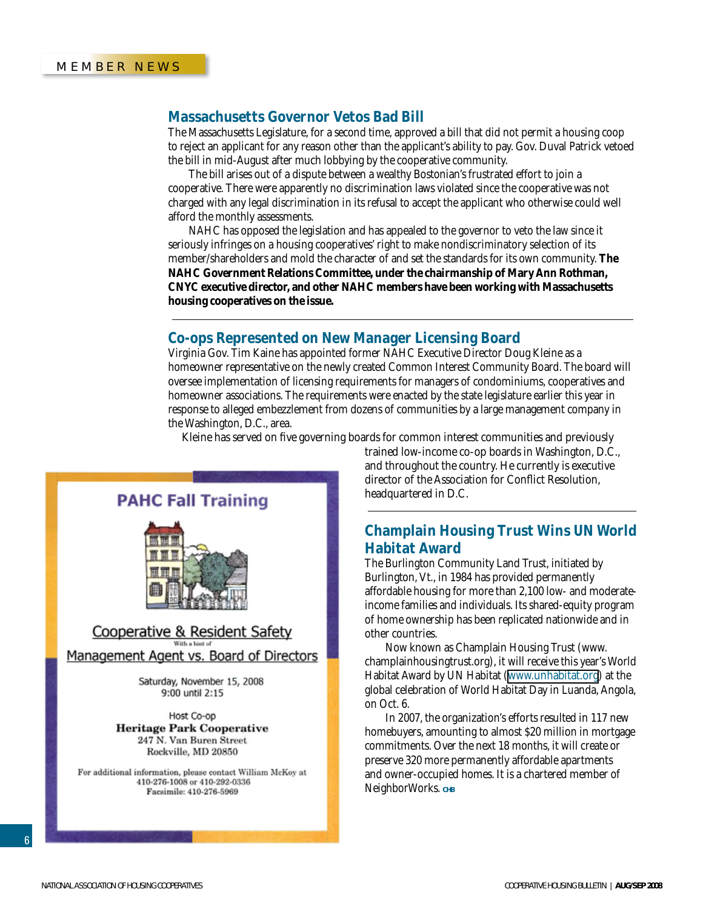#### **Massachusetts Governor Vetos Bad Bill**

The Massachusetts Legislature, for a second time, approved a bill that did not permit a housing coop to reject an applicant for any reason other than the applicant's ability to pay. Gov. Duval Patrick vetoed the bill in mid-August after much lobbying by the cooperative community.

The bill arises out of a dispute between a wealthy Bostonian's frustrated effort to join a cooperative. There were apparently no discrimination laws violated since the cooperative was not charged with any legal discrimination in its refusal to accept the applicant who otherwise could well afford the monthly assessments.

NAHC has opposed the legislation and has appealed to the governor to veto the law since it seriously infringes on a housing cooperatives' right to make nondiscriminatory selection of its member/shareholders and mold the character of and set the standards for its own community. **The NAHC Government Relations Committee, under the chairmanship of Mary Ann Rothman, CNYC executive director, and other NAHC members have been working with Massachusetts housing cooperatives on the issue.**

#### **Co-ops Represented on New Manager Licensing Board**

Virginia Gov. Tim Kaine has appointed former NAHC Executive Director Doug Kleine as a homeowner representative on the newly created Common Interest Community Board. The board will oversee implementation of licensing requirements for managers of condominiums, cooperatives and homeowner associations. The requirements were enacted by the state legislature earlier this year in response to alleged embezzlement from dozens of communities by a large management company in the Washington, D.C., area.

Kleine has served on five governing boards for common interest communities and previously



Management Agent vs. Board of Directors

Saturday, November 15, 2008 9:00 until 2:15

Host Co-op **Heritage Park Cooperative** 247 N. Van Buren Street Rockville, MD 20850

For additional information, please contact William McKoy at 410-276-1008 or 410-292-0336 Facsimile: 410-276-5969

trained low-income co-op boards in Washington, D.C., and throughout the country. He currently is executive director of the Association for Conflict Resolution, headquartered in D.C.

#### **Champlain Housing Trust Wins UN World Habitat Award**

The Burlington Community Land Trust, initiated by Burlington, Vt., in 1984 has provided permanently affordable housing for more than 2,100 low- and moderateincome families and individuals. Its shared-equity program of home ownership has been replicated nationwide and in other countries.

Now known as Champlain Housing Trust (www. champlainhousingtrust.org), it will receive this year's World Habitat Award by UN Habitat [\(www.unhabitat.org](http://www.unhabitat.org)) at the global celebration of World Habitat Day in Luanda, Angola, on Oct. 6.

In 2007, the organization's efforts resulted in 117 new homebuyers, amounting to almost \$20 million in mortgage commitments. Over the next 18 months, it will create or preserve 320 more permanently affordable apartments and owner-occupied homes. It is a chartered member of NeighborWorks. CHB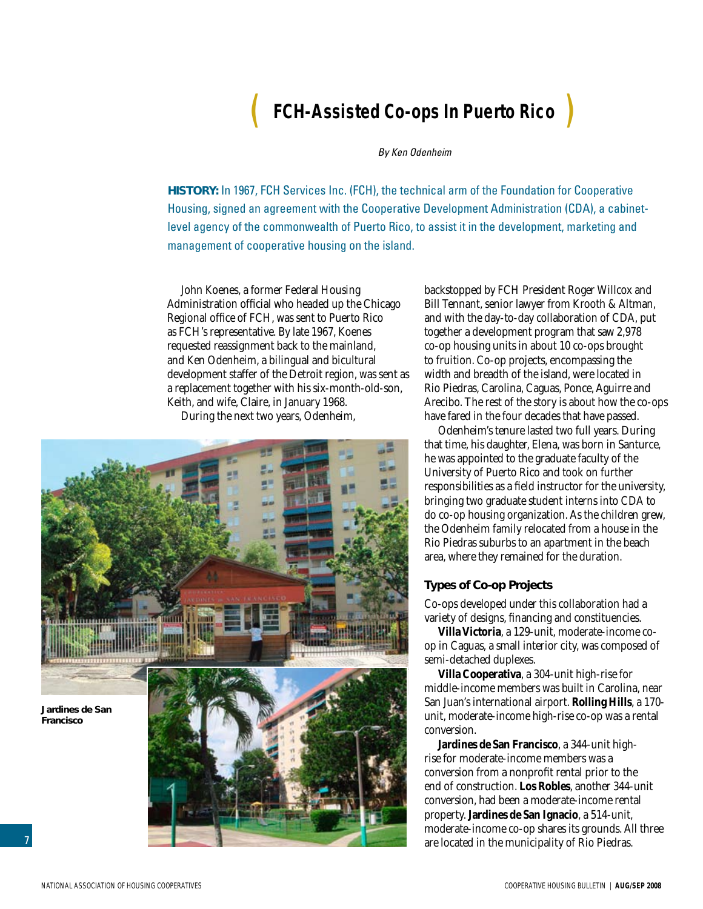# ( **FCH-Assisted Co-ops In Puerto Rico** )

#### *By Ken Odenheim*

<span id="page-6-0"></span>**History:** In 1967, FCH Services Inc. (FCH), the technical arm of the Foundation for Cooperative Housing, signed an agreement with the Cooperative Development Administration (CDA), a cabinetlevel agency of the commonwealth of Puerto Rico, to assist it in the development, marketing and management of cooperative housing on the island.

John Koenes, a former Federal Housing Administration official who headed up the Chicago Regional office of FCH, was sent to Puerto Rico as FCH's representative. By late 1967, Koenes requested reassignment back to the mainland, and Ken Odenheim, a bilingual and bicultural development staffer of the Detroit region, was sent as a replacement together with his six-month-old-son, Keith, and wife, Claire, in January 1968.

During the next two years, Odenheim,



backstopped by FCH President Roger Willcox and Bill Tennant, senior lawyer from Krooth & Altman, and with the day-to-day collaboration of CDA, put together a development program that saw 2,978 co-op housing units in about 10 co-ops brought to fruition. Co-op projects, encompassing the width and breadth of the island, were located in Rio Piedras, Carolina, Caguas, Ponce, Aguirre and Arecibo. The rest of the story is about how the co-ops have fared in the four decades that have passed.

Odenheim's tenure lasted two full years. During that time, his daughter, Elena, was born in Santurce, he was appointed to the graduate faculty of the University of Puerto Rico and took on further responsibilities as a field instructor for the university, bringing two graduate student interns into CDA to do co-op housing organization. As the children grew, the Odenheim family relocated from a house in the Rio Piedras suburbs to an apartment in the beach area, where they remained for the duration.

#### **Types of Co-op Projects**

Co-ops developed under this collaboration had a variety of designs, financing and constituencies.

**Villa Victoria**, a 129-unit, moderate-income coop in Caguas, a small interior city, was composed of semi-detached duplexes.

**Villa Cooperativa**, a 304-unit high-rise for middle-income members was built in Carolina, near San Juan's international airport. **Rolling Hills**, a 170 unit, moderate-income high-rise co-op was a rental conversion.

**Jardines de San Francisco**, a 344-unit highrise for moderate-income members was a conversion from a nonprofit rental prior to the end of construction. **Los Robles**, another 344-unit conversion, had been a moderate-income rental property. **Jardines de San Ignacio**, a 514-unit, moderate-income co-op shares its grounds. All three are located in the municipality of Rio Piedras.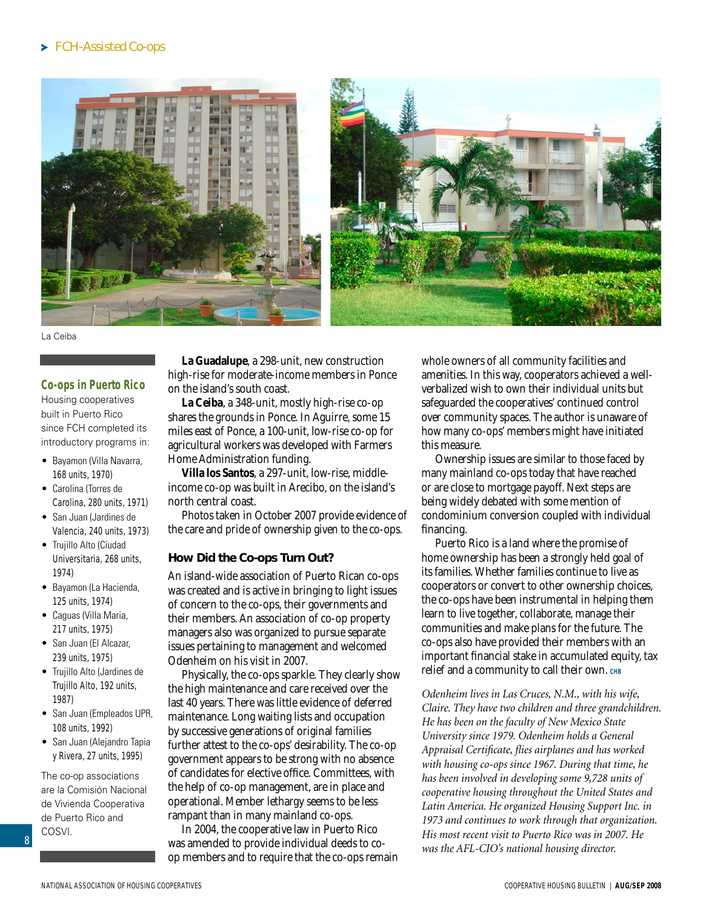#### FCH-Assisted Co-ops





La Ceiba

#### **Co-ops in Puerto Rico**

Housing cooperatives built in Puerto Rico since FCH completed its introductory programs in:

- Bayamon (Villa Navarra, 168 units, 1970)
- Carolina (Torres de Carolina, 280 units, 1971)
- San Juan (Jardines de Valencia, 240 units, 1973)
- Trujillo Alto (Ciudad Universitaria, 268 units, 1974)
- Bayamon (La Hacienda, 125 units, 1974)
- Caguas (Villa Maria, 217 units, 1975)
- San Juan (El Alcazar, 239 units, 1975)
- Trujillo Alto (Jardines de Trujillo Alto, 192 units, 1987)
- San Juan (Empleados UPR, 108 units, 1992)
- San Juan (Alejandro Tapia y Rivera, 27 units, 1995)

The co-op associations are la Comisión Nacional de Vivienda Cooperativa de Puerto Rico and COSVI.

**La Guadalupe**, a 298-unit, new construction high-rise for moderate-income members in Ponce on the island's south coast.

**La Ceiba**, a 348-unit, mostly high-rise co-op shares the grounds in Ponce. In Aguirre, some 15 miles east of Ponce, a 100-unit, low-rise co-op for agricultural workers was developed with Farmers Home Administration funding.

**Villa los Santos**, a 297-unit, low-rise, middleincome co-op was built in Arecibo, on the island's north central coast.

Photos taken in October 2007 provide evidence of the care and pride of ownership given to the co-ops.

#### **How Did the Co-ops Turn Out?**

An island-wide association of Puerto Rican co-ops was created and is active in bringing to light issues of concern to the co-ops, their governments and their members. An association of co-op property managers also was organized to pursue separate issues pertaining to management and welcomed Odenheim on his visit in 2007.

Physically, the co-ops sparkle. They clearly show the high maintenance and care received over the last 40 years. There was little evidence of deferred maintenance. Long waiting lists and occupation by successive generations of original families further attest to the co-ops' desirability. The co-op government appears to be strong with no absence of candidates for elective office. Committees, with the help of co-op management, are in place and operational. Member lethargy seems to be less rampant than in many mainland co-ops.

In 2004, the cooperative law in Puerto Rico was amended to provide individual deeds to coop members and to require that the co-ops remain whole owners of all community facilities and amenities. In this way, cooperators achieved a wellverbalized wish to own their individual units but safeguarded the cooperatives' continued control over community spaces. The author is unaware of how many co-ops' members might have initiated this measure.

Ownership issues are similar to those faced by many mainland co-ops today that have reached or are close to mortgage payoff. Next steps are being widely debated with some mention of condominium conversion coupled with individual financing.

Puerto Rico is a land where the promise of home ownership has been a strongly held goal of its families. Whether families continue to live as cooperators or convert to other ownership choices, the co-ops have been instrumental in helping them learn to live together, collaborate, manage their communities and make plans for the future. The co-ops also have provided their members with an important financial stake in accumulated equity, tax relief and a community to call their own. CHB

*Odenheim lives in Las Cruces, N.M., with his wife, Claire. They have two children and three grandchildren. He has been on the faculty of New Mexico State University since 1979. Odenheim holds a General Appraisal Certificate, flies airplanes and has worked with housing co-ops since 1967. During that time, he has been involved in developing some 9,728 units of cooperative housing throughout the United States and Latin America. He organized Housing Support Inc. in 1973 and continues to work through that organization. His most recent visit to Puerto Rico was in 2007. He was the AFL-CIO's national housing director.*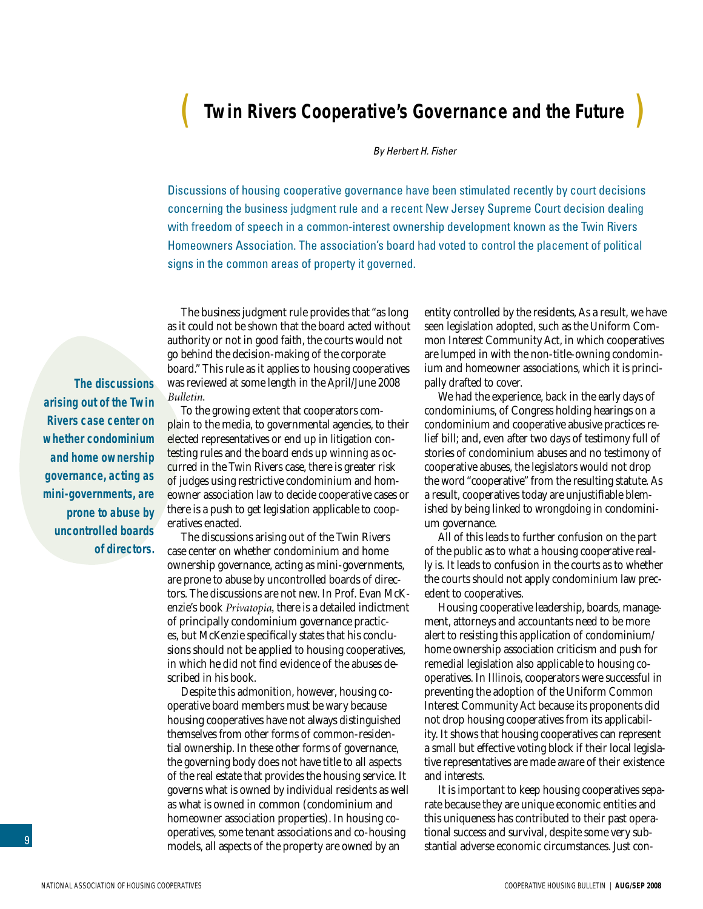# <span id="page-8-0"></span>( **Twin Rivers Cooperative's Governance and the Future** )

#### *By Herbert H. Fisher*

Discussions of housing cooperative governance have been stimulated recently by court decisions concerning the business judgment rule and a recent New Jersey Supreme Court decision dealing with freedom of speech in a common-interest ownership development known as the Twin Rivers Homeowners Association. The association's board had voted to control the placement of political signs in the common areas of property it governed.

The business judgment rule provides that "as long as it could not be shown that the board acted without authority or not in good faith, the courts would not go behind the decision-making of the corporate board." This rule as it applies to housing cooperatives was reviewed at some length in the April/June 2008 *Bulletin*.

**The discussions arising out of the Twin Rivers case center on whether condominium and home ownership governance, acting as mini-governments, are prone to abuse by uncontrolled boards of directors.** 

To the growing extent that cooperators complain to the media, to governmental agencies, to their elected representatives or end up in litigation contesting rules and the board ends up winning as occurred in the Twin Rivers case, there is greater risk of judges using restrictive condominium and homeowner association law to decide cooperative cases or there is a push to get legislation applicable to cooperatives enacted.

The discussions arising out of the Twin Rivers case center on whether condominium and home ownership governance, acting as mini-governments, are prone to abuse by uncontrolled boards of directors. The discussions are not new. In Prof. Evan McKenzie's book *Privatopia,* there is a detailed indictment of principally condominium governance practices, but McKenzie specifically states that his conclusions should not be applied to housing cooperatives, in which he did not find evidence of the abuses described in his book.

Despite this admonition, however, housing cooperative board members must be wary because housing cooperatives have not always distinguished themselves from other forms of common-residential ownership. In these other forms of governance, the governing body does not have title to all aspects of the real estate that provides the housing service. It governs what is owned by individual residents as well as what is owned in common (condominium and homeowner association properties). In housing cooperatives, some tenant associations and co-housing models, all aspects of the property are owned by an

entity controlled by the residents, As a result, we have seen legislation adopted, such as the Uniform Common Interest Community Act, in which cooperatives are lumped in with the non-title-owning condominium and homeowner associations, which it is principally drafted to cover.

We had the experience, back in the early days of condominiums, of Congress holding hearings on a condominium and cooperative abusive practices relief bill; and, even after two days of testimony full of stories of condominium abuses and no testimony of cooperative abuses, the legislators would not drop the word "cooperative" from the resulting statute. As a result, cooperatives today are unjustifiable blemished by being linked to wrongdoing in condominium governance.

All of this leads to further confusion on the part of the public as to what a housing cooperative really is. It leads to confusion in the courts as to whether the courts should not apply condominium law precedent to cooperatives.

Housing cooperative leadership, boards, management, attorneys and accountants need to be more alert to resisting this application of condominium/ home ownership association criticism and push for remedial legislation also applicable to housing cooperatives. In Illinois, cooperators were successful in preventing the adoption of the Uniform Common Interest Community Act because its proponents did not drop housing cooperatives from its applicability. It shows that housing cooperatives can represent a small but effective voting block if their local legislative representatives are made aware of their existence and interests.

It is important to keep housing cooperatives separate because they are unique economic entities and this uniqueness has contributed to their past operational success and survival, despite some very substantial adverse economic circumstances. Just con-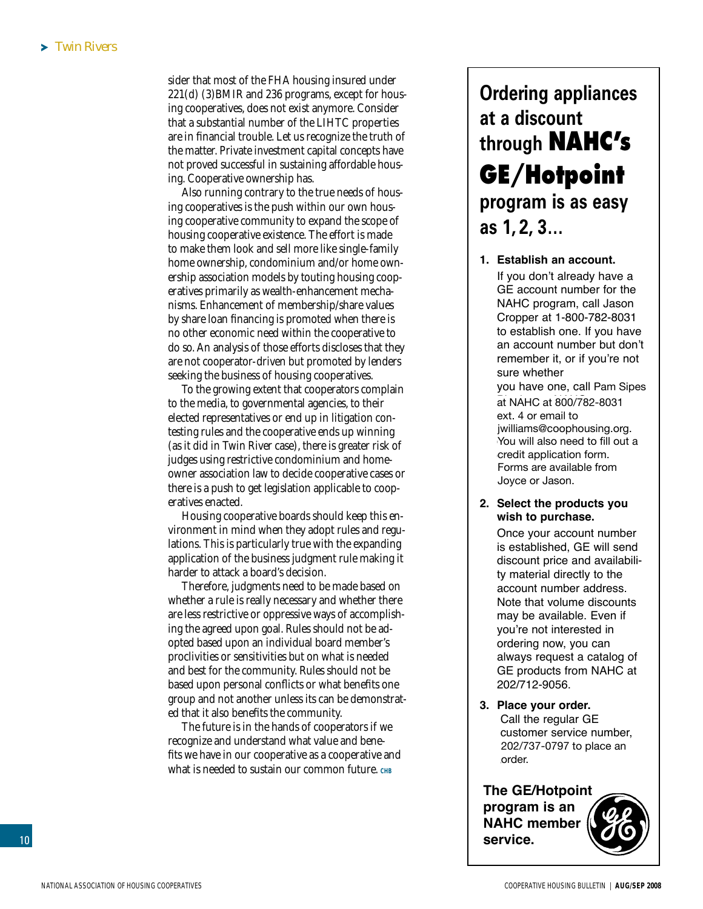sider that most of the FHA housing insured under 221(d) (3)BMIR and 236 programs, except for housing cooperatives, does not exist anymore. Consider that a substantial number of the LIHTC properties are in financial trouble. Let us recognize the truth of the matter. Private investment capital concepts have not proved successful in sustaining affordable housing. Cooperative ownership has.

Also running contrary to the true needs of housing cooperatives is the push within our own housing cooperative community to expand the scope of housing cooperative existence. The effort is made to make them look and sell more like single-family home ownership, condominium and/or home ownership association models by touting housing cooperatives primarily as wealth-enhancement mechanisms. Enhancement of membership/share values by share loan financing is promoted when there is no other economic need within the cooperative to do so. An analysis of those efforts discloses that they are not cooperator-driven but promoted by lenders seeking the business of housing cooperatives.

To the growing extent that cooperators complain to the media, to governmental agencies, to their elected representatives or end up in litigation contesting rules and the cooperative ends up winning (as it did in Twin River case), there is greater risk of judges using restrictive condominium and homeowner association law to decide cooperative cases or there is a push to get legislation applicable to cooperatives enacted.

Housing cooperative boards should keep this environment in mind when they adopt rules and regulations. This is particularly true with the expanding application of the business judgment rule making it harder to attack a board's decision.

Therefore, judgments need to be made based on whether a rule is really necessary and whether there are less restrictive or oppressive ways of accomplishing the agreed upon goal. Rules should not be adopted based upon an individual board member's proclivities or sensitivities but on what is needed and best for the community. Rules should not be based upon personal conflicts or what benefits one group and not another unless its can be demonstrated that it also benefits the community.

The future is in the hands of cooperators if we recognize and understand what value and benefits we have in our cooperative as a cooperative and what is needed to sustain our common future. CHB

# **Ordering appliances at a discount through NAHC's GE/Hotpoint program is as easy as 1, 2, 3…**

**1. Establish an account.** If you don't already have a GE account number for the NAHC program, call Jason Cropper at 1-800-782-8031 to establish one. If you have an account number but don't remember it, or if you're not sure whether you have one, call Pam Sipes at NAHC at 800/782-8031 ext. 4 or email to jwilliams@coophousing.org. You will also need to fill out a credit application form. Forms are available from Forms are available from Joyce or Jason.

#### **2. Select the products you wish to purchase.**

Once your account number is established, GE will send discount price and availability material directly to the account number address. Note that volume discounts may be available. Even if you're not interested in ordering now, you can always request a catalog of GE products from NAHC at 202/712-9056.

**3. Place your order.** Call the regular GE customer service number, 202/737-0797 to place an an order. order.

**The GE/Hotpoint program is an NAHC member service.**

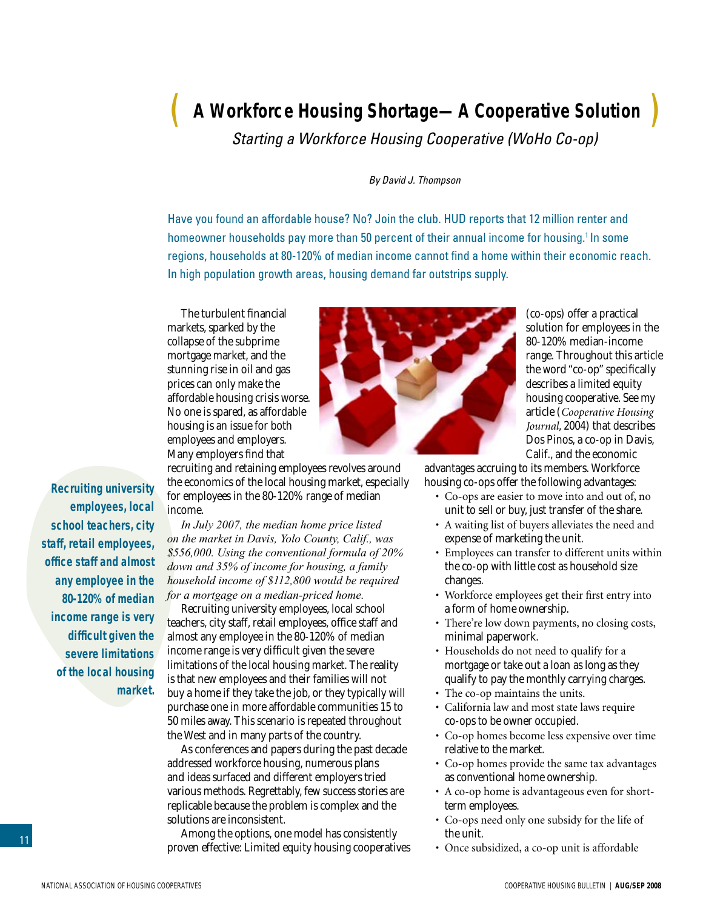# <span id="page-10-0"></span>( **A Workforce Housing Shortage—A Cooperative Solution** )

*Starting a Workforce Housing Cooperative (WoHo Co-op)*

#### *By David J. Thompson*

Have you found an affordable house? No? Join the club. HUD reports that 12 million renter and homeowner households pay more than 50 percent of their annual income for housing.<sup>1</sup> In some regions, households at 80-120% of median income cannot find a home within their economic reach. In high population growth areas, housing demand far outstrips supply.

The turbulent financial markets, sparked by the collapse of the subprime mortgage market, and the stunning rise in oil and gas prices can only make the affordable housing crisis worse. No one is spared, as affordable housing is an issue for both employees and employers. Many employers find that



(co-ops) offer a practical solution for employees in the 80-120% median-income range. Throughout this article the word "co-op" specifically describes a limited equity housing cooperative. See my article (*Cooperative Housing Journal*, 2004) that describes Dos Pinos, a co-op in Davis, Calif., and the economic

**Recruiting university employees, local school teachers, city staff, retail employees, office staff and almost any employee in the 80-120% of median income range is very difficult given the severe limitations of the local housing market.** 

recruiting and retaining employees revolves around the economics of the local housing market, especially for employees in the 80-120% range of median income.

*In July 2007, the median home price listed on the market in Davis, Yolo County, Calif., was \$556,000. Using the conventional formula of 20% down and 35% of income for housing, a family household income of \$112,800 would be required for a mortgage on a median-priced home.* 

Recruiting university employees, local school teachers, city staff, retail employees, office staff and almost any employee in the 80-120% of median income range is very difficult given the severe limitations of the local housing market. The reality is that new employees and their families will not buy a home if they take the job, or they typically will purchase one in more affordable communities 15 to 50 miles away. This scenario is repeated throughout the West and in many parts of the country.

As conferences and papers during the past decade addressed workforce housing, numerous plans and ideas surfaced and different employers tried various methods. Regrettably, few success stories are replicable because the problem is complex and the solutions are inconsistent.

Among the options, one model has consistently proven effective: Limited equity housing cooperatives advantages accruing to its members. Workforce housing co-ops offer the following advantages:

- Co-ops are easier to move into and out of, no unit to sell or buy, just transfer of the share.
- A waiting list of buyers alleviates the need and expense of marketing the unit.
- Employees can transfer to different units within the co-op with little cost as household size changes.
- Workforce employees get their first entry into a form of home ownership.
- There're low down payments, no closing costs, minimal paperwork.
- Households do not need to qualify for a mortgage or take out a loan as long as they qualify to pay the monthly carrying charges.
- The co-op maintains the units.
- California law and most state laws require co-ops to be owner occupied.
- Co-op homes become less expensive over time relative to the market.
- Co-op homes provide the same tax advantages as conventional home ownership.
- A co-op home is advantageous even for shortterm employees.
- Co-ops need only one subsidy for the life of the unit.
- Once subsidized, a co-op unit is affordable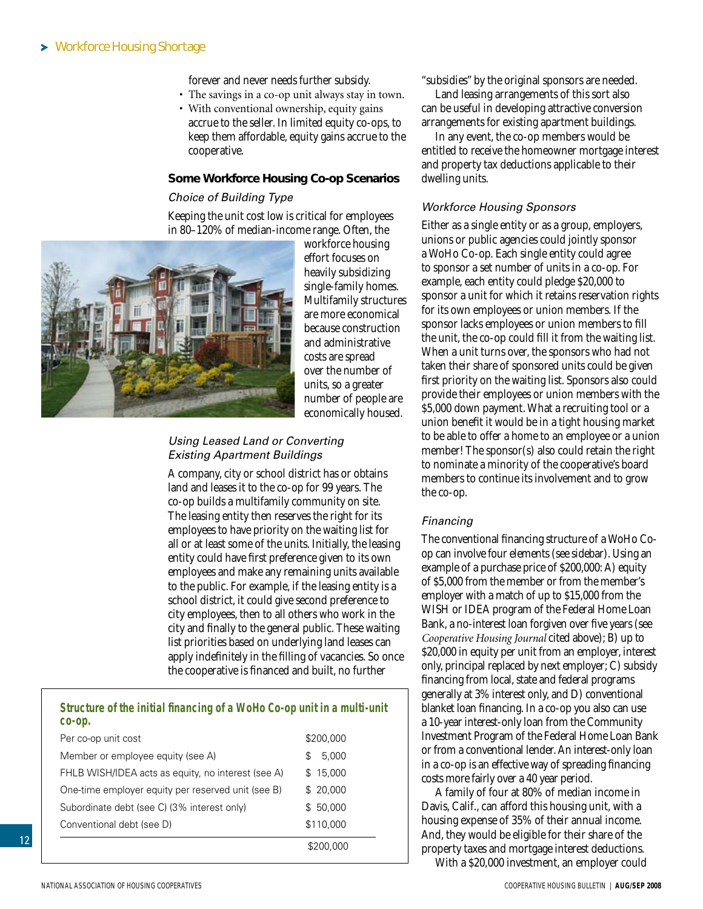#### Workforce Housing Shortage

forever and never needs further subsidy.

- The savings in a co-op unit always stay in town.
- With conventional ownership, equity gains accrue to the seller. In limited equity co-ops, to keep them affordable, equity gains accrue to the cooperative.

#### **Some Workforce Housing Co-op Scenarios**

#### *Choice of Building Type*

Keeping the unit cost low is critical for employees in 80–120% of median-income range. Often, the



workforce housing effort focuses on heavily subsidizing single-family homes. Multifamily structures are more economical because construction and administrative costs are spread over the number of units, so a greater number of people are economically housed.

#### *Using Leased Land or Converting Existing Apartment Buildings*

A company, city or school district has or obtains land and leases it to the co-op for 99 years. The co-op builds a multifamily community on site. The leasing entity then reserves the right for its employees to have priority on the waiting list for all or at least some of the units. Initially, the leasing entity could have first preference given to its own employees and make any remaining units available to the public. For example, if the leasing entity is a school district, it could give second preference to city employees, then to all others who work in the city and finally to the general public. These waiting list priorities based on underlying land leases can apply indefinitely in the filling of vacancies. So once the cooperative is financed and built, no further

#### **Structure of the initial financing of a WoHo Co-op unit in a multi-unit co-op.**

| Per co-op unit cost                                | \$200,000  |  |
|----------------------------------------------------|------------|--|
| Member or employee equity (see A)                  | 5,000<br>S |  |
| FHLB WISH/IDEA acts as equity, no interest (see A) | \$15,000   |  |
| One-time employer equity per reserved unit (see B) | \$20,000   |  |
| Subordinate debt (see C) (3% interest only)        | \$50,000   |  |
| Conventional debt (see D)                          | \$110,000  |  |
|                                                    | \$200,000  |  |

"subsidies" by the original sponsors are needed.

Land leasing arrangements of this sort also can be useful in developing attractive conversion arrangements for existing apartment buildings.

In any event, the co-op members would be entitled to receive the homeowner mortgage interest and property tax deductions applicable to their dwelling units.

#### *Workforce Housing Sponsors*

Either as a single entity or as a group, employers, unions or public agencies could jointly sponsor a WoHo Co-op. Each single entity could agree to sponsor a set number of units in a co-op. For example, each entity could pledge \$20,000 to sponsor a unit for which it retains reservation rights for its own employees or union members. If the sponsor lacks employees or union members to fill the unit, the co-op could fill it from the waiting list. When a unit turns over, the sponsors who had not taken their share of sponsored units could be given first priority on the waiting list. Sponsors also could provide their employees or union members with the \$5,000 down payment. What a recruiting tool or a union benefit it would be in a tight housing market to be able to offer a home to an employee or a union member! The sponsor(s) also could retain the right to nominate a minority of the cooperative's board members to continue its involvement and to grow the co-op.

#### *Financing*

The conventional financing structure of a WoHo Coop can involve four elements (see sidebar). Using an example of a purchase price of \$200,000: A) equity of \$5,000 from the member or from the member's employer with a match of up to \$15,000 from the WISH or IDEA program of the Federal Home Loan Bank, a no-interest loan forgiven over five years (see *Cooperative Housing Journal* cited above); B) up to \$20,000 in equity per unit from an employer, interest only, principal replaced by next employer; C) subsidy financing from local, state and federal programs generally at 3% interest only, and D) conventional blanket loan financing. In a co-op you also can use a 10-year interest-only loan from the Community Investment Program of the Federal Home Loan Bank or from a conventional lender. An interest-only loan in a co-op is an effective way of spreading financing costs more fairly over a 40 year period.

A family of four at 80% of median income in Davis, Calif., can afford this housing unit, with a housing expense of 35% of their annual income. And, they would be eligible for their share of the property taxes and mortgage interest deductions.

With a \$20,000 investment, an employer could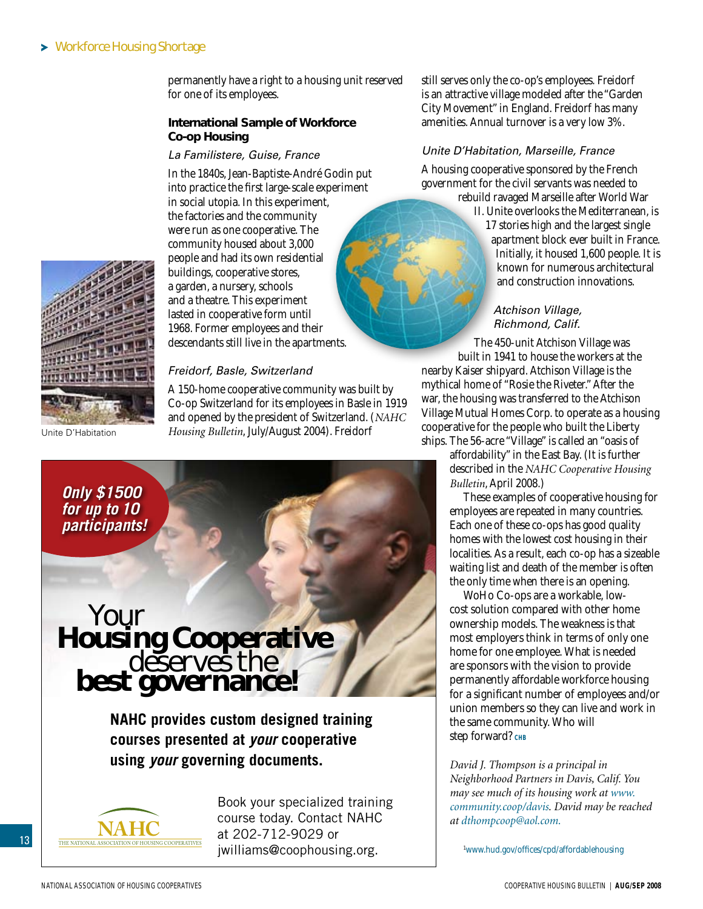permanently have a right to a housing unit reserved for one of its employees.

#### **International Sample of Workforce Co-op Housing**

#### *La Familistere, Guise, France*

In the 1840s, Jean-Baptiste-André Godin put into practice the first large-scale experiment in social utopia. In this experiment, the factories and the community were run as one cooperative. The community housed about 3,000 people and had its own residential buildings, cooperative stores, a garden, a nursery, schools and a theatre. This experiment lasted in cooperative form until 1968. Former employees and their descendants still live in the apartments.



Unite D'Habitation

*Freidorf, Basle, Switzerland*

A 150-home cooperative community was built by Co-op Switzerland for its employees in Basle in 1919 and opened by the president of Switzerland. (*NAHC Housing Bulletin*, July/August 2004). Freidorf

*Only \$1500 for up to 10 participants!*

# **Housing Cooperative**<br>deserves the **best governance!**

**NAHC provides custom designed training courses presented at** *your* **cooperative using** *your* **governing documents.**



Book your specialized training course today. Contact NAHC at 202-712-9029 or jwilliams@coophousing.org.

still serves only the co-op's employees. Freidorf is an attractive village modeled after the "Garden City Movement" in England. Freidorf has many amenities. Annual turnover is a very low 3%.

#### *Unite D'Habitation, Marseille, France*

A housing cooperative sponsored by the French government for the civil servants was needed to rebuild ravaged Marseille after World War

> II. Unite overlooks the Mediterranean, is 17 stories high and the largest single apartment block ever built in France. Initially, it housed 1,600 people. It is known for numerous architectural and construction innovations.

#### *Atchison Village, Richmond, Calif.*

The 450-unit Atchison Village was built in 1941 to house the workers at the nearby Kaiser shipyard. Atchison Village is the mythical home of "Rosie the Riveter." After the war, the housing was transferred to the Atchison Village Mutual Homes Corp. to operate as a housing cooperative for the people who built the Liberty ships. The 56-acre "Village" is called an "oasis of

affordability" in the East Bay. (It is further described in the *NAHC Cooperative Housing Bulletin*, April 2008.)

These examples of cooperative housing for employees are repeated in many countries. Each one of these co-ops has good quality homes with the lowest cost housing in their localities. As a result, each co-op has a sizeable waiting list and death of the member is often the only time when there is an opening.

WoHo Co-ops are a workable, lowcost solution compared with other home ownership models. The weakness is that most employers think in terms of only one home for one employee. What is needed are sponsors with the vision to provide permanently affordable workforce housing for a significant number of employees and/or union members so they can live and work in the same community. Who will Step forward? CHB

*David J. Thompson is a principal in Neighborhood Partners in Davis, Calif. You may see much of its housing work at www. community.coop/davis. David may be reached at dthompcoop@aol.com.*

1 www.hud.gov/offices/cpd/affordablehousing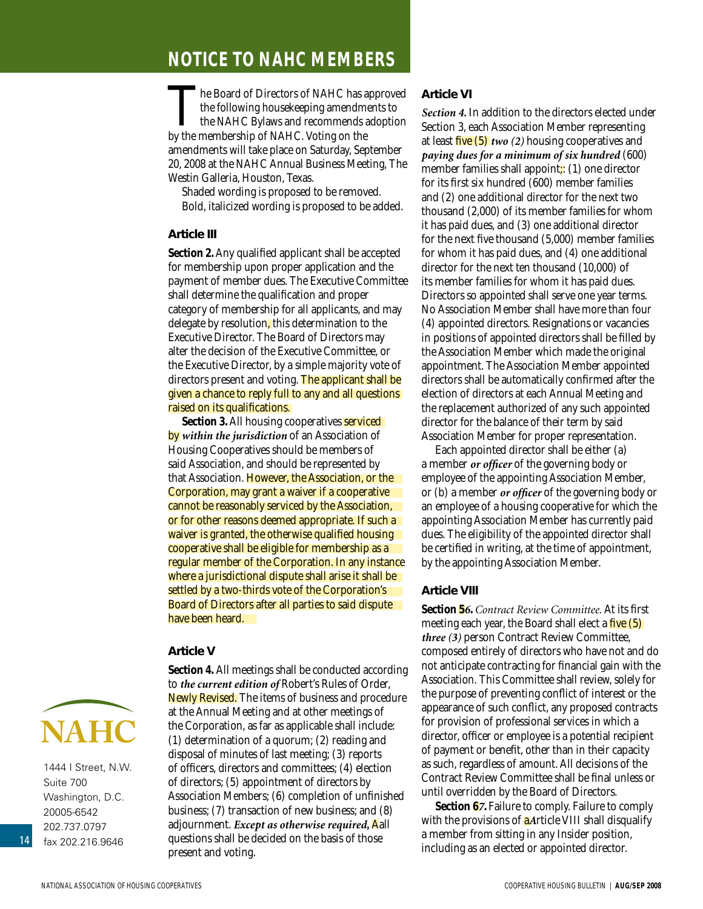## <span id="page-13-0"></span>**NOTICE TO NAHC MEMBERS**

The Board of Directors of NAHC has approved the following housekeeping amendments to **L** the NAHC Bylaws and recommends adoption by the membership of NAHC. Voting on the amendments will take place on Saturday, September 20, 2008 at the NAHC Annual Business Meeting, The Westin Galleria, Houston, Texas.

Shaded wording is proposed to be removed. Bold, italicized wording is proposed to be added.

#### **Article III**

**Section 2.** Any qualified applicant shall be accepted for membership upon proper application and the payment of member dues. The Executive Committee shall determine the qualification and proper category of membership for all applicants, and may delegate by resolution, this determination to the Executive Director. The Board of Directors may alter the decision of the Executive Committee, or the Executive Director, by a simple majority vote of directors present and voting. The applicant shall be given a chance to reply full to any and all questions raised on its qualifications.

**Section 3. All housing cooperatives serviced** by *within the jurisdiction* of an Association of Housing Cooperatives should be members of said Association, and should be represented by that Association. However, the Association, or the Corporation, may grant a waiver if a cooperative cannot be reasonably serviced by the Association, or for other reasons deemed appropriate. If such a waiver is granted, the otherwise qualified housing cooperative shall be eligible for membership as a regular member of the Corporation. In any instance where a jurisdictional dispute shall arise it shall be settled by a two-thirds vote of the Corporation's Board of Directors after all parties to said dispute have been heard.

#### **Article V**



1444 I Street, N.W. Suite 700 Washington, D.C. 20005-6542 202.737.0797 fax 202.216.9646

**Section 4.** All meetings shall be conducted according to *the current edition of* Robert's Rules of Order, Newly Revised. The items of business and procedure at the Annual Meeting and at other meetings of the Corporation, as far as applicable shall include: (1) determination of a quorum; (2) reading and disposal of minutes of last meeting; (3) reports of officers, directors and committees; (4) election of directors; (5) appointment of directors by Association Members; (6) completion of unfinished business; (7) transaction of new business; and (8) adjournment. *Except as otherwise required,* Aall questions shall be decided on the basis of those present and voting.

#### **Article VI**

*Section 4.* In addition to the directors elected under Section 3, each Association Member representing at least five (5) *two (2)* housing cooperatives and *paying dues for a minimum of six hundred* (600) member families shall appoint;: (1) one director for its first six hundred (600) member families and (2) one additional director for the next two thousand (2,000) of its member families for whom it has paid dues, and (3) one additional director for the next five thousand (5,000) member families for whom it has paid dues, and (4) one additional director for the next ten thousand (10,000) of its member families for whom it has paid dues. Directors so appointed shall serve one year terms. No Association Member shall have more than four (4) appointed directors. Resignations or vacancies in positions of appointed directors shall be filled by the Association Member which made the original appointment. The Association Member appointed directors shall be automatically confirmed after the election of directors at each Annual Meeting and the replacement authorized of any such appointed director for the balance of their term by said Association Member for proper representation.

Each appointed director shall be either (a) a member *or officer* of the governing body or employee of the appointing Association Member, or (b) a member *or officer* of the governing body or an employee of a housing cooperative for which the appointing Association Member has currently paid dues. The eligibility of the appointed director shall be certified in writing, at the time of appointment, by the appointing Association Member.

#### **Article VIII**

**Section 5***6***.** *Contract Review Committee.* At its first meeting each year, the Board shall elect a five (5) *three (3)* person Contract Review Committee, composed entirely of directors who have not and do not anticipate contracting for financial gain with the Association. This Committee shall review, solely for the purpose of preventing conflict of interest or the appearance of such conflict, any proposed contracts for provision of professional services in which a director, officer or employee is a potential recipient of payment or benefit, other than in their capacity as such, regardless of amount. All decisions of the Contract Review Committee shall be final unless or until overridden by the Board of Directors.

**Section 67.** Failure to comply. Failure to comply with the provisions of a*A*rticle VIII shall disqualify a member from sitting in any Insider position, including as an elected or appointed director.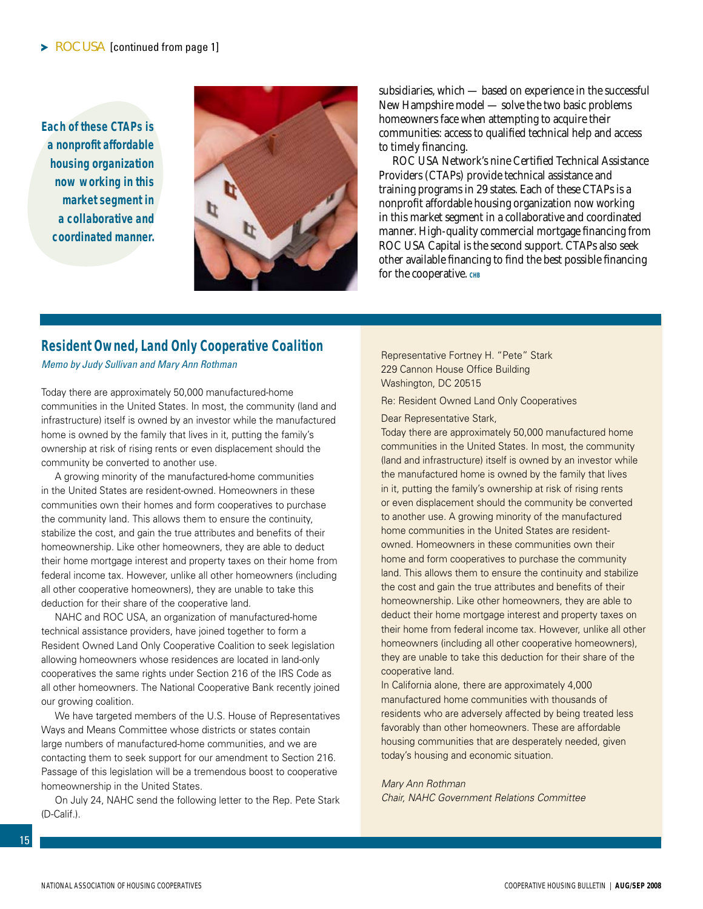<span id="page-14-0"></span>**Each of these CTAPs is a nonprofit affordable housing organization now working in this market segment in a collaborative and coordinated manner.** 



subsidiaries, which — based on experience in the successful New Hampshire model — solve the two basic problems homeowners face when attempting to acquire their communities: access to qualified technical help and access to timely financing.

ROC USA Network's nine Certified Technical Assistance Providers (CTAPs) provide technical assistance and training programs in 29 states. Each of these CTAPs is a nonprofit affordable housing organization now working in this market segment in a collaborative and coordinated manner. High-quality commercial mortgage financing from ROC USA Capital is the second support. CTAPs also seek other available financing to find the best possible financing for the cooperative. CHB

#### **Resident Owned, Land Only Cooperative Coalition**

*Memo by Judy Sullivan and Mary Ann Rothman*

Today there are approximately 50,000 manufactured-home communities in the United States. In most, the community (land and infrastructure) itself is owned by an investor while the manufactured home is owned by the family that lives in it, putting the family's ownership at risk of rising rents or even displacement should the community be converted to another use.

A growing minority of the manufactured-home communities in the United States are resident-owned. Homeowners in these communities own their homes and form cooperatives to purchase the community land. This allows them to ensure the continuity, stabilize the cost, and gain the true attributes and benefits of their homeownership. Like other homeowners, they are able to deduct their home mortgage interest and property taxes on their home from federal income tax. However, unlike all other homeowners (including all other cooperative homeowners), they are unable to take this deduction for their share of the cooperative land.

NAHC and ROC USA, an organization of manufactured-home technical assistance providers, have joined together to form a Resident Owned Land Only Cooperative Coalition to seek legislation allowing homeowners whose residences are located in land-only cooperatives the same rights under Section 216 of the IRS Code as all other homeowners. The National Cooperative Bank recently joined our growing coalition.

We have targeted members of the U.S. House of Representatives Ways and Means Committee whose districts or states contain large numbers of manufactured-home communities, and we are contacting them to seek support for our amendment to Section 216. Passage of this legislation will be a tremendous boost to cooperative homeownership in the United States.

On July 24, NAHC send the following letter to the Rep. Pete Stark (D-Calif.).

Representative Fortney H. "Pete" Stark 229 Cannon House Office Building Washington, DC 20515

Re: Resident Owned Land Only Cooperatives

Dear Representative Stark,

Today there are approximately 50,000 manufactured home communities in the United States. In most, the community (land and infrastructure) itself is owned by an investor while the manufactured home is owned by the family that lives in it, putting the family's ownership at risk of rising rents or even displacement should the community be converted to another use. A growing minority of the manufactured home communities in the United States are residentowned. Homeowners in these communities own their home and form cooperatives to purchase the community land. This allows them to ensure the continuity and stabilize the cost and gain the true attributes and benefits of their homeownership. Like other homeowners, they are able to deduct their home mortgage interest and property taxes on their home from federal income tax. However, unlike all other homeowners (including all other cooperative homeowners), they are unable to take this deduction for their share of the cooperative land.

In California alone, there are approximately 4,000 manufactured home communities with thousands of residents who are adversely affected by being treated less favorably than other homeowners. These are affordable housing communities that are desperately needed, given today's housing and economic situation.

#### *Mary Ann Rothman*

*Chair, NAHC Government Relations Committee*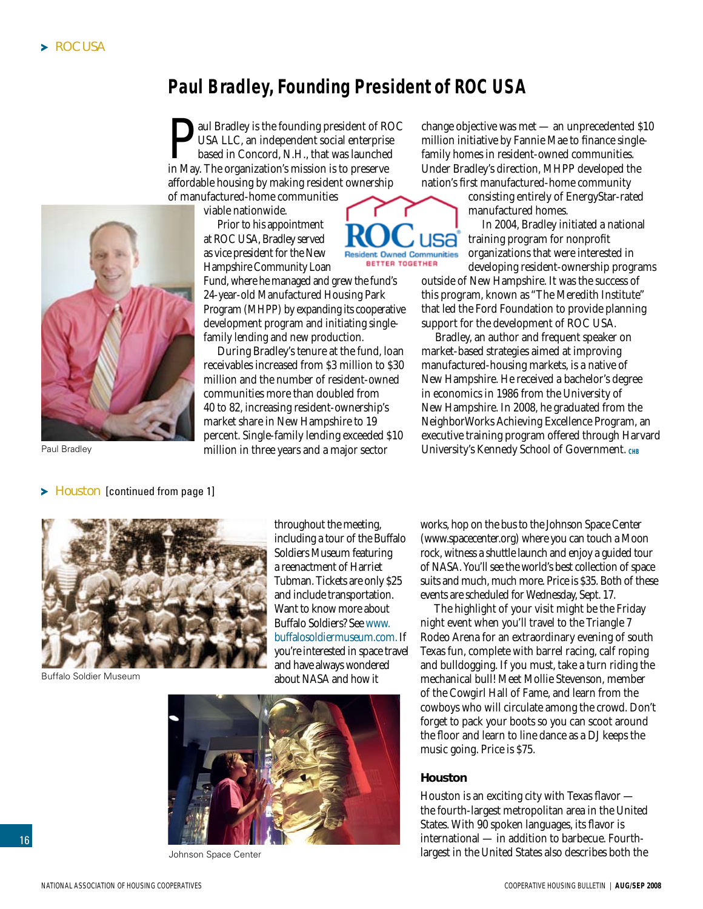# <span id="page-15-0"></span>**Paul Bradley, Founding President of ROC USA**

aul Bradley is the founding president of ROC USA LLC, an independent social enterprise based in Concord, N.H., that was launched in May. The organization's mission is to preserve affordable housing by making resident ownership of manufactured-home communities

viable nationwide.

Prior to his appointment at ROC USA, Bradley served as vice president for the New Hampshire Community Loan

Fund, where he managed and grew the fund's 24-year-old Manufactured Housing Park Program (MHPP) by expanding its cooperative development program and initiating singlefamily lending and new production.

During Bradley's tenure at the fund, loan receivables increased from \$3 million to \$30 million and the number of resident-owned communities more than doubled from 40 to 82, increasing resident-ownership's market share in New Hampshire to 19 percent. Single-family lending exceeded \$10 million in three years and a major sector

change objective was met — an unprecedented \$10 million initiative by Fannie Mae to finance singlefamily homes in resident-owned communities. Under Bradley's direction, MHPP developed the nation's first manufactured-home community

> consisting entirely of EnergyStar-rated manufactured homes.

In 2004, Bradley initiated a national training program for nonprofit organizations that were interested in developing resident-ownership programs

outside of New Hampshire. It was the success of this program, known as "The Meredith Institute" that led the Ford Foundation to provide planning support for the development of ROC USA.

Bradley, an author and frequent speaker on market-based strategies aimed at improving manufactured-housing markets, is a native of New Hampshire. He received a bachelor's degree in economics in 1986 from the University of New Hampshire. In 2008, he graduated from the NeighborWorks Achieving Excellence Program, an executive training program offered through Harvard Paul Bradley **Paul Bradley Example 20** million in three years and a major sector University's Kennedy School of Government. CHB



 $\blacktriangleright$  Houston [continued from page 1]



Buffalo Soldier Museum

16

throughout the meeting, including a tour of the Buffalo Soldiers Museum featuring a reenactment of Harriet Tubman. Tickets are only \$25 and include transportation. Want to know more about Buffalo Soldiers? See www. buffalosoldiermuseum.com. If you're interested in space travel and have always wondered about NASA and how it



Johnson Space Center

works, hop on the bus to the Johnson Space Center (www.spacecenter.org) where you can touch a Moon rock, witness a shuttle launch and enjoy a guided tour of NASA. You'll see the world's best collection of space suits and much, much more. Price is \$35. Both of these events are scheduled for Wednesday, Sept. 17.

The highlight of your visit might be the Friday night event when you'll travel to the Triangle 7 Rodeo Arena for an extraordinary evening of south Texas fun, complete with barrel racing, calf roping and bulldogging. If you must, take a turn riding the mechanical bull! Meet Mollie Stevenson, member of the Cowgirl Hall of Fame, and learn from the cowboys who will circulate among the crowd. Don't forget to pack your boots so you can scoot around the floor and learn to line dance as a DJ keeps the music going. Price is \$75.

#### **Houston**

JSƏ

**Resident Owned Communities** BETTER TOGETHER

> Houston is an exciting city with Texas flavor the fourth-largest metropolitan area in the United States. With 90 spoken languages, its flavor is international — in addition to barbecue. Fourthlargest in the United States also describes both the